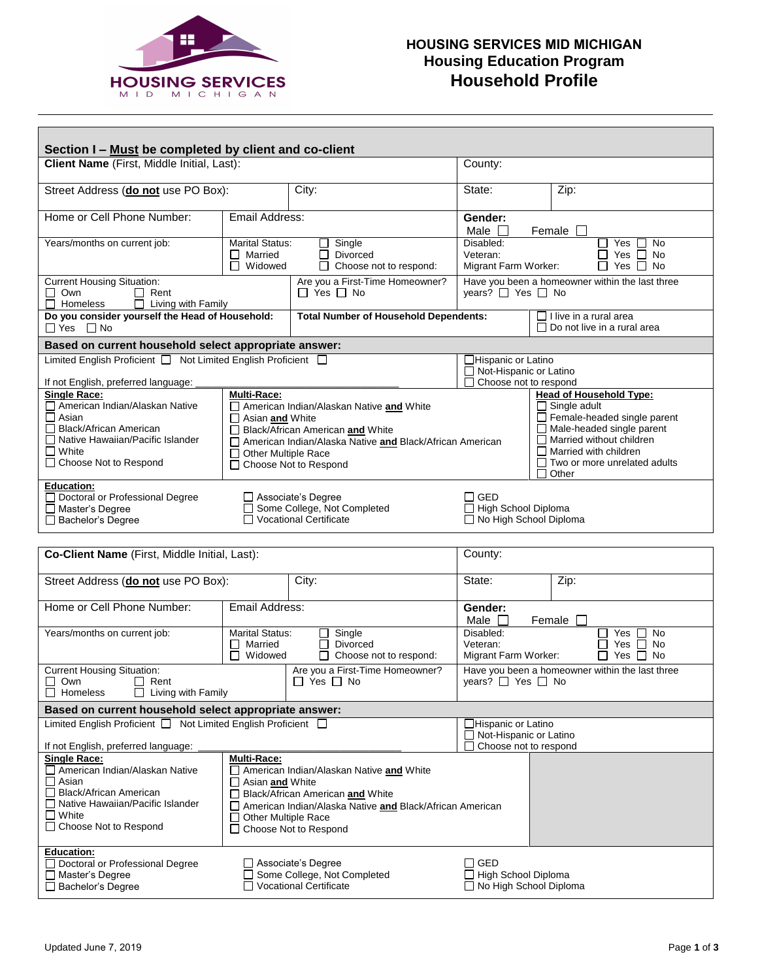

## **HOUSING SERVICES MID MICHIGAN Housing Education Program Household Profile**

| Section I - Must be completed by client and co-client                                                                                                                                                                        |                                                                                                                                                                                                                                                                                  |        |                                                                                                 |                                                                                                                                                                                                                                             |                                                                          |      |  |
|------------------------------------------------------------------------------------------------------------------------------------------------------------------------------------------------------------------------------|----------------------------------------------------------------------------------------------------------------------------------------------------------------------------------------------------------------------------------------------------------------------------------|--------|-------------------------------------------------------------------------------------------------|---------------------------------------------------------------------------------------------------------------------------------------------------------------------------------------------------------------------------------------------|--------------------------------------------------------------------------|------|--|
| Client Name (First, Middle Initial, Last):                                                                                                                                                                                   |                                                                                                                                                                                                                                                                                  |        |                                                                                                 | County:                                                                                                                                                                                                                                     |                                                                          |      |  |
| Street Address (do not use PO Box):                                                                                                                                                                                          |                                                                                                                                                                                                                                                                                  | City:  |                                                                                                 | State:                                                                                                                                                                                                                                      |                                                                          | Zip: |  |
| Home or Cell Phone Number:                                                                                                                                                                                                   | Email Address:                                                                                                                                                                                                                                                                   |        | Gender:<br>Male $\Box$<br>Female [                                                              |                                                                                                                                                                                                                                             |                                                                          |      |  |
| Years/months on current job:                                                                                                                                                                                                 | <b>Marital Status:</b><br>Single<br>ப<br>Married<br><b>Divorced</b><br>$\Box$<br>Widowed<br>Choose not to respond:                                                                                                                                                               |        | Disabled:<br>No<br>Yes<br>Veteran:<br>Yes $\Box$<br>No<br>Yes $\Box$ No<br>Migrant Farm Worker: |                                                                                                                                                                                                                                             |                                                                          |      |  |
| <b>Current Housing Situation:</b><br>$\Box$ Own<br>$\Box$ Rent<br>$\Box$ Living with Family<br>$\Box$ Homeless                                                                                                               | Are you a First-Time Homeowner?<br>$\Box$ Yes $\Box$ No                                                                                                                                                                                                                          |        |                                                                                                 | Have you been a homeowner within the last three<br>years? □ Yes □ No                                                                                                                                                                        |                                                                          |      |  |
| $\Box$ Yes $\Box$ No                                                                                                                                                                                                         | Do you consider yourself the Head of Household:<br><b>Total Number of Household Dependents:</b>                                                                                                                                                                                  |        |                                                                                                 | I live in a rural area<br>$\Box$ Do not live in a rural area                                                                                                                                                                                |                                                                          |      |  |
| Based on current household select appropriate answer:                                                                                                                                                                        |                                                                                                                                                                                                                                                                                  |        |                                                                                                 |                                                                                                                                                                                                                                             |                                                                          |      |  |
| Limited English Proficient □ Not Limited English Proficient □<br>If not English, preferred language:                                                                                                                         |                                                                                                                                                                                                                                                                                  |        |                                                                                                 |                                                                                                                                                                                                                                             | □Hispanic or Latino<br>□ Not-Hispanic or Latino<br>Choose not to respond |      |  |
| <b>Single Race:</b><br>American Indian/Alaskan Native<br>$\Box$ Asian<br>Black/African American<br>□ Native Hawaiian/Pacific Islander<br>$\Box$ White<br>□ Choose Not to Respond                                             | Multi-Race:<br>American Indian/Alaskan Native and White<br>Asian and White<br>Black/African American and White<br>American Indian/Alaska Native and Black/African American<br>Other Multiple Race<br>$\Box$<br>Choose Not to Respond                                             |        |                                                                                                 | <b>Head of Household Type:</b><br>$\Box$ Single adult<br>Female-headed single parent<br>$\Box$ Male-headed single parent<br>$\Box$ Married without children<br>$\Box$ Married with children<br>$\Box$ Two or more unrelated adults<br>Other |                                                                          |      |  |
| <b>Education:</b><br>Doctoral or Professional Degree<br>$\Box$ Master's Degree<br>$\Box$ Bachelor's Degree                                                                                                                   | $\Box$ Associate's Degree<br>□ Some College, Not Completed<br>□ Vocational Certificate                                                                                                                                                                                           |        |                                                                                                 | $\Box$ GED<br>□ High School Diploma<br>□ No High School Diploma                                                                                                                                                                             |                                                                          |      |  |
| Co-Client Name (First, Middle Initial, Last):                                                                                                                                                                                |                                                                                                                                                                                                                                                                                  |        |                                                                                                 | County:                                                                                                                                                                                                                                     |                                                                          |      |  |
| Street Address (do not use PO Box):                                                                                                                                                                                          |                                                                                                                                                                                                                                                                                  | City:  |                                                                                                 | Zip:<br>State:                                                                                                                                                                                                                              |                                                                          |      |  |
| Home or Cell Phone Number:                                                                                                                                                                                                   | Email Address:                                                                                                                                                                                                                                                                   |        | Gender:<br>Male $\Box$<br>Female [                                                              |                                                                                                                                                                                                                                             |                                                                          |      |  |
| Years/months on current job:                                                                                                                                                                                                 | <b>Marital Status:</b><br>Married<br>П<br>Widowed                                                                                                                                                                                                                                | $\Box$ | Single<br><b>Divorced</b><br>Choose not to respond:                                             | Disabled:<br><b>No</b><br>Yes<br>Yes $\Box$<br>No<br>Veteran:<br>No<br>Migrant Farm Worker:<br>Yes $\Box$<br>l 1                                                                                                                            |                                                                          |      |  |
| <b>Current Housing Situation:</b><br>$\Box$ Rent<br>∟ Own<br>$\Box$ Homeless<br>$\Box$<br>Living with Family                                                                                                                 | Are you a First-Time Homeowner?<br>$\Box$ Yes $\Box$ No                                                                                                                                                                                                                          |        |                                                                                                 | Have you been a homeowner within the last three<br>years? □ Yes □ No                                                                                                                                                                        |                                                                          |      |  |
| Based on current household select appropriate answer:                                                                                                                                                                        |                                                                                                                                                                                                                                                                                  |        |                                                                                                 |                                                                                                                                                                                                                                             |                                                                          |      |  |
| Limited English Proficient □ Not Limited English Proficient                                                                                                                                                                  |                                                                                                                                                                                                                                                                                  |        | Hispanic or Latino<br>$\Box$ Not-Hispanic or Latino                                             |                                                                                                                                                                                                                                             |                                                                          |      |  |
| If not English, preferred language:<br><b>Single Race:</b><br>American Indian/Alaskan Native<br>$\Box$ Asian<br>□ Black/African American<br>□ Native Hawaiian/Pacific Islander<br>$\square$ White<br>□ Choose Not to Respond | Choose not to respond<br>Multi-Race:<br>American Indian/Alaskan Native and White<br>$\Box$ Asian and White<br>Black/African American and White<br>American Indian/Alaska Native and Black/African American<br>$\Box$<br><b>Other Multiple Race</b><br>Choose Not to Respond<br>⊔ |        |                                                                                                 |                                                                                                                                                                                                                                             |                                                                          |      |  |
| <b>Education:</b><br>Doctoral or Professional Degree<br>$\Box$ Master's Degree<br>□ Bachelor's Degree                                                                                                                        | □ Associate's Degree<br>Some College, Not Completed<br>□ Vocational Certificate                                                                                                                                                                                                  |        |                                                                                                 | $\Box$ GED<br>□ High School Diploma<br>$\Box$ No High School Diploma                                                                                                                                                                        |                                                                          |      |  |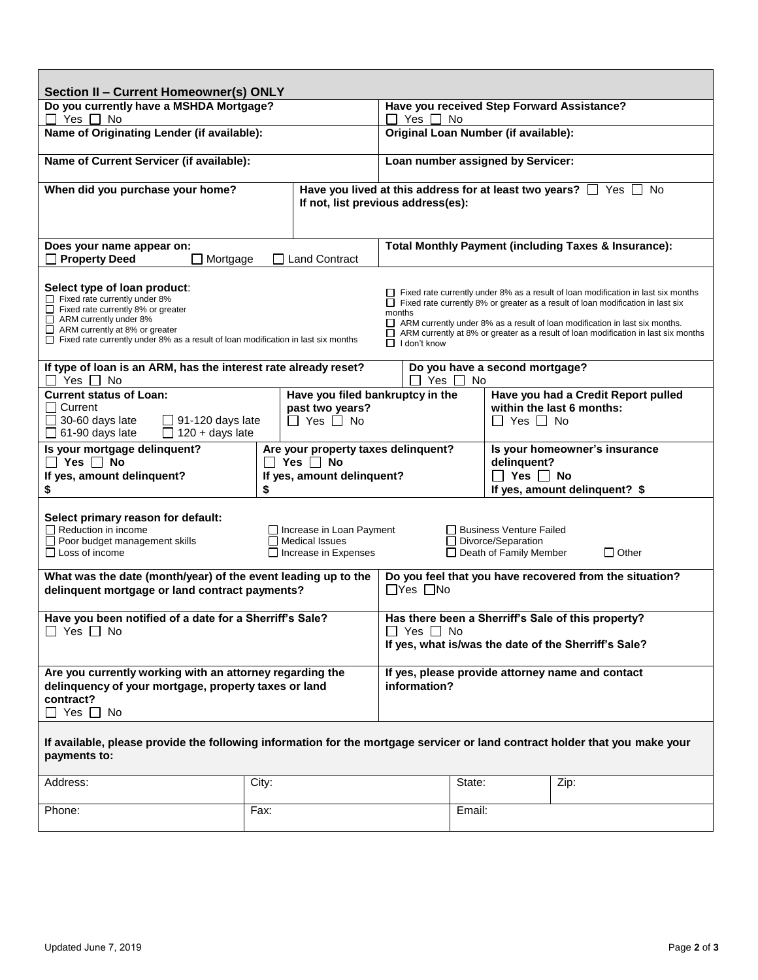| Section II - Current Homeowner(s) ONLY                                                                                                                                                                                                                                                                                 |                                                                                          |  |                                                                                                                                                                                                                                                                                                                                                                                          |        |        |                                                                                                       |      |  |
|------------------------------------------------------------------------------------------------------------------------------------------------------------------------------------------------------------------------------------------------------------------------------------------------------------------------|------------------------------------------------------------------------------------------|--|------------------------------------------------------------------------------------------------------------------------------------------------------------------------------------------------------------------------------------------------------------------------------------------------------------------------------------------------------------------------------------------|--------|--------|-------------------------------------------------------------------------------------------------------|------|--|
| Do you currently have a MSHDA Mortgage?<br>$\Box$ Yes $\Box$ No                                                                                                                                                                                                                                                        |                                                                                          |  | Have you received Step Forward Assistance?<br>□ Yes □ No                                                                                                                                                                                                                                                                                                                                 |        |        |                                                                                                       |      |  |
| Name of Originating Lender (if available):                                                                                                                                                                                                                                                                             |                                                                                          |  | Original Loan Number (if available):                                                                                                                                                                                                                                                                                                                                                     |        |        |                                                                                                       |      |  |
| Name of Current Servicer (if available):                                                                                                                                                                                                                                                                               |                                                                                          |  | Loan number assigned by Servicer:                                                                                                                                                                                                                                                                                                                                                        |        |        |                                                                                                       |      |  |
| When did you purchase your home?                                                                                                                                                                                                                                                                                       |                                                                                          |  | Have you lived at this address for at least two years? [ Yes  <br>No.<br>If not, list previous address(es):                                                                                                                                                                                                                                                                              |        |        |                                                                                                       |      |  |
| Does your name appear on:<br><b>Property Deed</b><br><b>Land Contract</b><br>Mortgage                                                                                                                                                                                                                                  |                                                                                          |  | <b>Total Monthly Payment (including Taxes &amp; Insurance):</b>                                                                                                                                                                                                                                                                                                                          |        |        |                                                                                                       |      |  |
| Select type of loan product:<br>$\Box$ Fixed rate currently under 8%<br>$\Box$ Fixed rate currently 8% or greater<br>$\Box$ ARM currently under 8%<br>$\Box$ ARM currently at 8% or greater<br>$\Box$ Fixed rate currently under 8% as a result of loan modification in last six months                                |                                                                                          |  | $\Box$ Fixed rate currently under 8% as a result of loan modification in last six months<br>$\Box$ Fixed rate currently 8% or greater as a result of loan modification in last six<br>months<br>ARM currently under 8% as a result of loan modification in last six months.<br>ARM currently at 8% or greater as a result of loan modification in last six months<br>$\Box$ I don't know |        |        |                                                                                                       |      |  |
| If type of loan is an ARM, has the interest rate already reset?<br>Do you have a second mortgage?<br>Yes $\Box$ No<br>Yes $\Box$ No                                                                                                                                                                                    |                                                                                          |  |                                                                                                                                                                                                                                                                                                                                                                                          |        |        |                                                                                                       |      |  |
| Have you filed bankruptcy in the<br><b>Current status of Loan:</b><br><b>□ Current</b><br>past two years?<br>$\Box$ 91-120 days late<br>$\Box$ 30-60 days late<br>$\Box$ Yes $\Box$ No<br>$\Box$ 120 + days late<br>$\Box$ 61-90 days late                                                                             |                                                                                          |  | Have you had a Credit Report pulled<br>within the last 6 months:<br>$\Box$ Yes $\Box$ No                                                                                                                                                                                                                                                                                                 |        |        |                                                                                                       |      |  |
| Is your mortgage delinquent?<br>$\Box$ Yes $\Box$ No<br>If yes, amount delinquent?<br>\$                                                                                                                                                                                                                               | Are your property taxes delinquent?<br>Yes $\Box$ No<br>If yes, amount delinquent?<br>\$ |  |                                                                                                                                                                                                                                                                                                                                                                                          |        |        | Is your homeowner's insurance<br>delinquent?<br>$\Box$ Yes $\Box$ No<br>If yes, amount delinquent? \$ |      |  |
| Select primary reason for default:<br>$\Box$ Reduction in income<br>$\Box$ Increase in Loan Payment<br>□ Business Venture Failed<br>$\Box$ Poor budget management skills<br>Medical Issues<br>□ Divorce/Separation<br>$\Box$ Loss of income<br>$\Box$ Increase in Expenses<br>□ Death of Family Member<br>$\Box$ Other |                                                                                          |  |                                                                                                                                                                                                                                                                                                                                                                                          |        |        |                                                                                                       |      |  |
| What was the date (month/year) of the event leading up to the<br>delinquent mortgage or land contract payments?                                                                                                                                                                                                        |                                                                                          |  | Do you feel that you have recovered from the situation?<br>$\Box$ Yes $\Box$ No                                                                                                                                                                                                                                                                                                          |        |        |                                                                                                       |      |  |
| Have you been notified of a date for a Sherriff's Sale?<br>$\Box$ Yes $\Box$ No                                                                                                                                                                                                                                        |                                                                                          |  | Has there been a Sherriff's Sale of this property?<br>$\Box$ Yes $\Box$ No<br>If yes, what is/was the date of the Sherriff's Sale?                                                                                                                                                                                                                                                       |        |        |                                                                                                       |      |  |
| Are you currently working with an attorney regarding the<br>delinquency of your mortgage, property taxes or land<br>contract?<br>$\Box$ Yes $\Box$ No                                                                                                                                                                  |                                                                                          |  | If yes, please provide attorney name and contact<br>information?                                                                                                                                                                                                                                                                                                                         |        |        |                                                                                                       |      |  |
| If available, please provide the following information for the mortgage servicer or land contract holder that you make your<br>payments to:                                                                                                                                                                            |                                                                                          |  |                                                                                                                                                                                                                                                                                                                                                                                          |        |        |                                                                                                       |      |  |
| Address:                                                                                                                                                                                                                                                                                                               | City:                                                                                    |  |                                                                                                                                                                                                                                                                                                                                                                                          | State: |        |                                                                                                       | Zip: |  |
| Phone:                                                                                                                                                                                                                                                                                                                 | Fax:                                                                                     |  |                                                                                                                                                                                                                                                                                                                                                                                          |        | Email: |                                                                                                       |      |  |